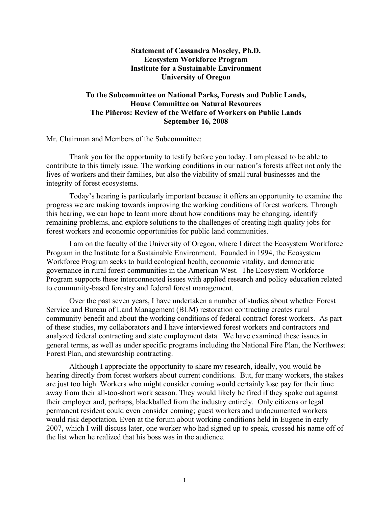# **Statement of Cassandra Moseley, Ph.D. Ecosystem Workforce Program Institute for a Sustainable Environment University of Oregon**

# **To the Subcommittee on National Parks, Forests and Public Lands, House Committee on Natural Resources The Piñeros: Review of the Welfare of Workers on Public Lands September 16, 2008**

Mr. Chairman and Members of the Subcommittee:

Thank you for the opportunity to testify before you today. I am pleased to be able to contribute to this timely issue. The working conditions in our nation's forests affect not only the lives of workers and their families, but also the viability of small rural businesses and the integrity of forest ecosystems.

Today's hearing is particularly important because it offers an opportunity to examine the progress we are making towards improving the working conditions of forest workers. Through this hearing, we can hope to learn more about how conditions may be changing, identify remaining problems, and explore solutions to the challenges of creating high quality jobs for forest workers and economic opportunities for public land communities.

I am on the faculty of the University of Oregon, where I direct the Ecosystem Workforce Program in the Institute for a Sustainable Environment. Founded in 1994, the Ecosystem Workforce Program seeks to build ecological health, economic vitality, and democratic governance in rural forest communities in the American West. The Ecosystem Workforce Program supports these interconnected issues with applied research and policy education related to community-based forestry and federal forest management.

Over the past seven years, I have undertaken a number of studies about whether Forest Service and Bureau of Land Management (BLM) restoration contracting creates rural community benefit and about the working conditions of federal contract forest workers. As part of these studies, my collaborators and I have interviewed forest workers and contractors and analyzed federal contracting and state employment data. We have examined these issues in general terms, as well as under specific programs including the National Fire Plan, the Northwest Forest Plan, and stewardship contracting.

Although I appreciate the opportunity to share my research, ideally, you would be hearing directly from forest workers about current conditions. But, for many workers, the stakes are just too high. Workers who might consider coming would certainly lose pay for their time away from their all-too-short work season. They would likely be fired if they spoke out against their employer and, perhaps, blackballed from the industry entirely. Only citizens or legal permanent resident could even consider coming; guest workers and undocumented workers would risk deportation. Even at the forum about working conditions held in Eugene in early 2007, which I will discuss later, one worker who had signed up to speak, crossed his name off of the list when he realized that his boss was in the audience.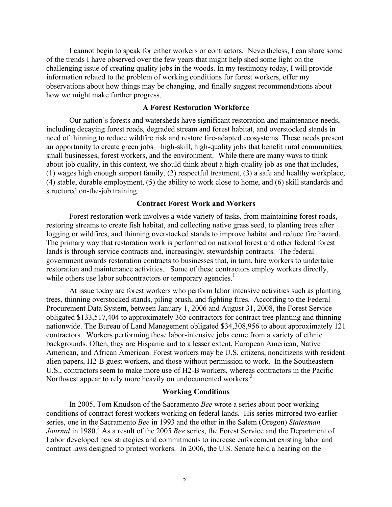I cannot begin to speak for either workers or contractors. Nevertheless, I can share some of the trends I have observed over the few years that might help shed some light on the challenging issue of creating quality jobs in the woods. In my testimony today, I will provide information related to the problem of working conditions for forest workers, offer my observations about how things may be changing, and finally suggest recommendations about how we might make further progress.

## **A Forest Restoration Workforce**

Our nation's forests and watersheds have significant restoration and maintenance needs, including decaying forest roads, degraded stream and forest habitat, and overstocked stands in need of thinning to reduce wildfire risk and restore fire-adapted ecosystems. These needs present an opportunity to create green jobs—high-skill, high-quality jobs that benefit rural communities, small businesses, forest workers, and the environment. While there are many ways to think about job quality, in this context, we should think about a high-quality job as one that includes, (1) wages high enough support family, (2) respectful treatment, (3) a safe and healthy workplace, (4) stable, durable employment, (5) the ability to work close to home, and (6) skill standards and structured on-the-job training.

#### **Contract Forest Work and Workers**

Forest restoration work involves a wide variety of tasks, from maintaining forest roads, restoring streams to create fish habitat, and collecting native grass seed, to planting trees after logging or wildfires, and thinning overstocked stands to improve habitat and reduce fire hazard. The primary way that restoration work is performed on national forest and other federal forest lands is through service contracts and, increasingly, stewardship contracts. The federal government awards restoration contracts to businesses that, in turn, hire workers to undertake restoration and maintenance activities. Some of these contractors employ workers directly, while others use labor subcontractors or temporary agencies.<sup>1</sup>

At issue today are forest workers who perform labor intensive activities such as planting trees, thinning overstocked stands, piling brush, and fighting fires. According to the Federal Procurement Data System, between January 1, 2006 and August 31, 2008, the Forest Service obligated \$133,517,404 to approximately 365 contractors for contract tree planting and thinning nationwide. The Bureau of Land Management obligated \$34,308,956 to about approximately 121 contractors. Workers performing these labor-intensive jobs come from a variety of ethnic backgrounds. Often, they are Hispanic and to a lesser extent, European American, Native American, and African American. Forest workers may be U.S. citizens, noncitizens with resident alien papers, H2-B guest workers, and those without permission to work. In the Southeastern U.S., contractors seem to make more use of H2-B workers, whereas contractors in the Pacific Northwest appear to rely more heavily on undocumented workers.<sup>2</sup>

### **Working Conditions**

In 2005, Tom Knudson of the Sacramento *Bee* wrote a series about poor working conditions of contract forest workers working on federal lands. His series mirrored two earlier series, one in the Sacramento *Bee* in 1993 and the other in the Salem (Oregon) *Statesman Journal* in 1980.<sup>3</sup> As a result of the 2005 *Bee* series, the Forest Service and the Department of Labor developed new strategies and commitments to increase enforcement existing labor and contract laws designed to protect workers. In 2006, the U.S. Senate held a hearing on the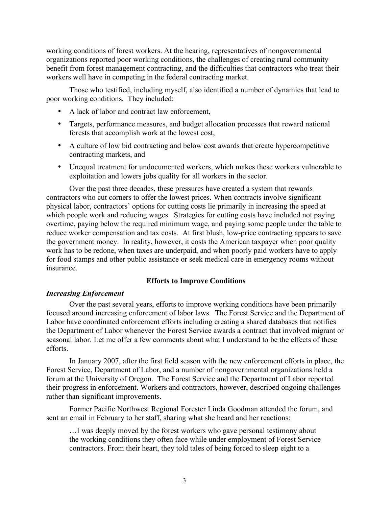working conditions of forest workers. At the hearing, representatives of nongovernmental organizations reported poor working conditions, the challenges of creating rural community benefit from forest management contracting, and the difficulties that contractors who treat their workers well have in competing in the federal contracting market.

Those who testified, including myself, also identified a number of dynamics that lead to poor working conditions. They included:

- A lack of labor and contract law enforcement,
- Targets, performance measures, and budget allocation processes that reward national forests that accomplish work at the lowest cost,
- A culture of low bid contracting and below cost awards that create hypercompetitive contracting markets, and
- Unequal treatment for undocumented workers, which makes these workers vulnerable to exploitation and lowers jobs quality for all workers in the sector.

Over the past three decades, these pressures have created a system that rewards contractors who cut corners to offer the lowest prices. When contracts involve significant physical labor, contractors' options for cutting costs lie primarily in increasing the speed at which people work and reducing wages. Strategies for cutting costs have included not paying overtime, paying below the required minimum wage, and paying some people under the table to reduce worker compensation and tax costs. At first blush, low-price contracting appears to save the government money. In reality, however, it costs the American taxpayer when poor quality work has to be redone, when taxes are underpaid, and when poorly paid workers have to apply for food stamps and other public assistance or seek medical care in emergency rooms without insurance.

### **Efforts to Improve Conditions**

### *Increasing Enforcement*

Over the past several years, efforts to improve working conditions have been primarily focused around increasing enforcement of labor laws. The Forest Service and the Department of Labor have coordinated enforcement efforts including creating a shared databases that notifies the Department of Labor whenever the Forest Service awards a contract that involved migrant or seasonal labor. Let me offer a few comments about what I understand to be the effects of these efforts.

In January 2007, after the first field season with the new enforcement efforts in place, the Forest Service, Department of Labor, and a number of nongovernmental organizations held a forum at the University of Oregon. The Forest Service and the Department of Labor reported their progress in enforcement. Workers and contractors, however, described ongoing challenges rather than significant improvements.

Former Pacific Northwest Regional Forester Linda Goodman attended the forum, and sent an email in February to her staff, sharing what she heard and her reactions:

…I was deeply moved by the forest workers who gave personal testimony about the working conditions they often face while under employment of Forest Service contractors. From their heart, they told tales of being forced to sleep eight to a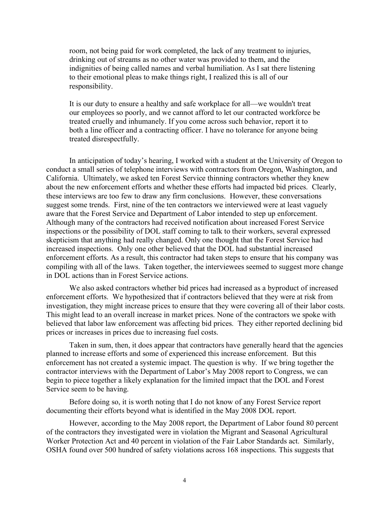room, not being paid for work completed, the lack of any treatment to injuries, drinking out of streams as no other water was provided to them, and the indignities of being called names and verbal humiliation. As I sat there listening to their emotional pleas to make things right, I realized this is all of our responsibility.

It is our duty to ensure a healthy and safe workplace for all—we wouldn't treat our employees so poorly, and we cannot afford to let our contracted workforce be treated cruelly and inhumanely. If you come across such behavior, report it to both a line officer and a contracting officer. I have no tolerance for anyone being treated disrespectfully.

In anticipation of today's hearing, I worked with a student at the University of Oregon to conduct a small series of telephone interviews with contractors from Oregon, Washington, and California. Ultimately, we asked ten Forest Service thinning contractors whether they knew about the new enforcement efforts and whether these efforts had impacted bid prices. Clearly, these interviews are too few to draw any firm conclusions. However, these conversations suggest some trends. First, nine of the ten contractors we interviewed were at least vaguely aware that the Forest Service and Department of Labor intended to step up enforcement. Although many of the contractors had received notification about increased Forest Service inspections or the possibility of DOL staff coming to talk to their workers, several expressed skepticism that anything had really changed. Only one thought that the Forest Service had increased inspections. Only one other believed that the DOL had substantial increased enforcement efforts. As a result, this contractor had taken steps to ensure that his company was compiling with all of the laws. Taken together, the interviewees seemed to suggest more change in DOL actions than in Forest Service actions.

We also asked contractors whether bid prices had increased as a byproduct of increased enforcement efforts. We hypothesized that if contractors believed that they were at risk from investigation, they might increase prices to ensure that they were covering all of their labor costs. This might lead to an overall increase in market prices. None of the contractors we spoke with believed that labor law enforcement was affecting bid prices. They either reported declining bid prices or increases in prices due to increasing fuel costs.

Taken in sum, then, it does appear that contractors have generally heard that the agencies planned to increase efforts and some of experienced this increase enforcement. But this enforcement has not created a systemic impact. The question is why. If we bring together the contractor interviews with the Department of Labor's May 2008 report to Congress, we can begin to piece together a likely explanation for the limited impact that the DOL and Forest Service seem to be having.

Before doing so, it is worth noting that I do not know of any Forest Service report documenting their efforts beyond what is identified in the May 2008 DOL report.

However, according to the May 2008 report, the Department of Labor found 80 percent of the contractors they investigated were in violation the Migrant and Seasonal Agricultural Worker Protection Act and 40 percent in violation of the Fair Labor Standards act. Similarly, OSHA found over 500 hundred of safety violations across 168 inspections. This suggests that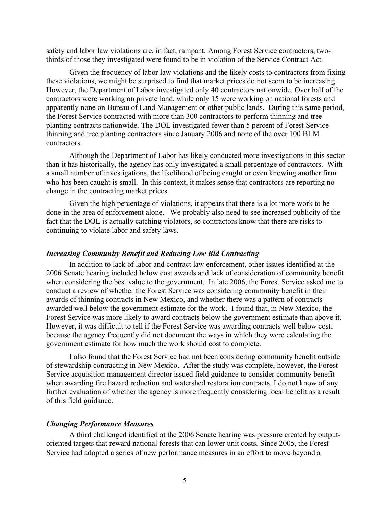safety and labor law violations are, in fact, rampant. Among Forest Service contractors, twothirds of those they investigated were found to be in violation of the Service Contract Act.

Given the frequency of labor law violations and the likely costs to contractors from fixing these violations, we might be surprised to find that market prices do not seem to be increasing. However, the Department of Labor investigated only 40 contractors nationwide. Over half of the contractors were working on private land, while only 15 were working on national forests and apparently none on Bureau of Land Management or other public lands. During this same period, the Forest Service contracted with more than 300 contractors to perform thinning and tree planting contracts nationwide. The DOL investigated fewer than 5 percent of Forest Service thinning and tree planting contractors since January 2006 and none of the over 100 BLM contractors.

Although the Department of Labor has likely conducted more investigations in this sector than it has historically, the agency has only investigated a small percentage of contractors. With a small number of investigations, the likelihood of being caught or even knowing another firm who has been caught is small. In this context, it makes sense that contractors are reporting no change in the contracting market prices.

Given the high percentage of violations, it appears that there is a lot more work to be done in the area of enforcement alone. We probably also need to see increased publicity of the fact that the DOL is actually catching violators, so contractors know that there are risks to continuing to violate labor and safety laws.

## *Increasing Community Benefit and Reducing Low Bid Contracting*

In addition to lack of labor and contract law enforcement, other issues identified at the 2006 Senate hearing included below cost awards and lack of consideration of community benefit when considering the best value to the government. In late 2006, the Forest Service asked me to conduct a review of whether the Forest Service was considering community benefit in their awards of thinning contracts in New Mexico, and whether there was a pattern of contracts awarded well below the government estimate for the work. I found that, in New Mexico, the Forest Service was more likely to award contracts below the government estimate than above it. However, it was difficult to tell if the Forest Service was awarding contracts well below cost, because the agency frequently did not document the ways in which they were calculating the government estimate for how much the work should cost to complete.

I also found that the Forest Service had not been considering community benefit outside of stewardship contracting in New Mexico. After the study was complete, however, the Forest Service acquisition management director issued field guidance to consider community benefit when awarding fire hazard reduction and watershed restoration contracts. I do not know of any further evaluation of whether the agency is more frequently considering local benefit as a result of this field guidance.

#### *Changing Performance Measures*

A third challenged identified at the 2006 Senate hearing was pressure created by outputoriented targets that reward national forests that can lower unit costs. Since 2005, the Forest Service had adopted a series of new performance measures in an effort to move beyond a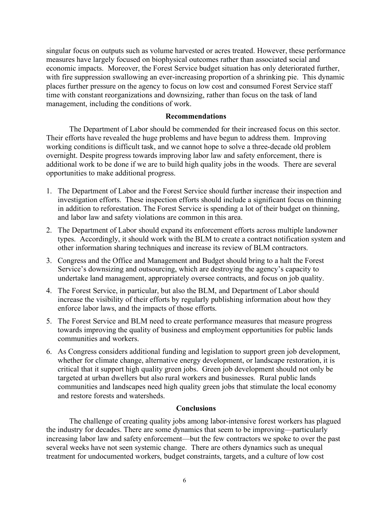singular focus on outputs such as volume harvested or acres treated. However, these performance measures have largely focused on biophysical outcomes rather than associated social and economic impacts. Moreover, the Forest Service budget situation has only deteriorated further, with fire suppression swallowing an ever-increasing proportion of a shrinking pie. This dynamic places further pressure on the agency to focus on low cost and consumed Forest Service staff time with constant reorganizations and downsizing, rather than focus on the task of land management, including the conditions of work.

### **Recommendations**

The Department of Labor should be commended for their increased focus on this sector. Their efforts have revealed the huge problems and have begun to address them. Improving working conditions is difficult task, and we cannot hope to solve a three-decade old problem overnight. Despite progress towards improving labor law and safety enforcement, there is additional work to be done if we are to build high quality jobs in the woods. There are several opportunities to make additional progress.

- 1. The Department of Labor and the Forest Service should further increase their inspection and investigation efforts. These inspection efforts should include a significant focus on thinning in addition to reforestation. The Forest Service is spending a lot of their budget on thinning, and labor law and safety violations are common in this area.
- 2. The Department of Labor should expand its enforcement efforts across multiple landowner types. Accordingly, it should work with the BLM to create a contract notification system and other information sharing techniques and increase its review of BLM contractors.
- 3. Congress and the Office and Management and Budget should bring to a halt the Forest Service's downsizing and outsourcing, which are destroying the agency's capacity to undertake land management, appropriately oversee contracts, and focus on job quality.
- 4. The Forest Service, in particular, but also the BLM, and Department of Labor should increase the visibility of their efforts by regularly publishing information about how they enforce labor laws, and the impacts of those efforts.
- 5. The Forest Service and BLM need to create performance measures that measure progress towards improving the quality of business and employment opportunities for public lands communities and workers.
- 6. As Congress considers additional funding and legislation to support green job development, whether for climate change, alternative energy development, or landscape restoration, it is critical that it support high quality green jobs. Green job development should not only be targeted at urban dwellers but also rural workers and businesses. Rural public lands communities and landscapes need high quality green jobs that stimulate the local economy and restore forests and watersheds.

### **Conclusions**

The challenge of creating quality jobs among labor-intensive forest workers has plagued the industry for decades. There are some dynamics that seem to be improving—particularly increasing labor law and safety enforcement—but the few contractors we spoke to over the past several weeks have not seen systemic change. There are others dynamics such as unequal treatment for undocumented workers, budget constraints, targets, and a culture of low cost